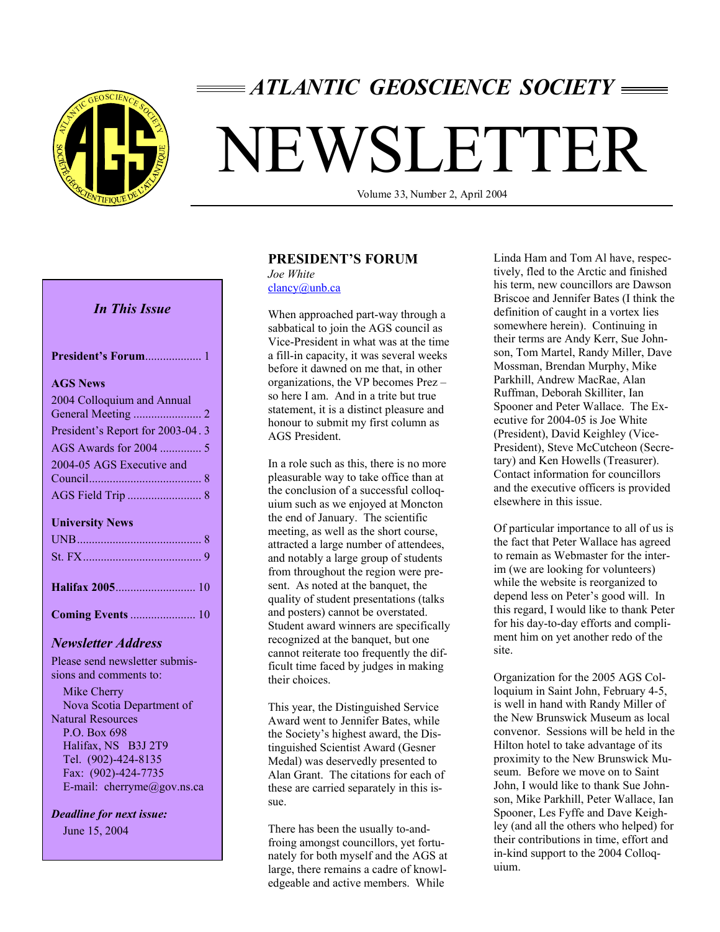

# *ATLANTIC GEOSCIENCE SOCIETY*

# NEWSLETTER

Volume 33, Number 2, April 2004

#### *In This Issue*

| <b>AGS News</b>                  |
|----------------------------------|
| 2004 Colloquium and Annual       |
|                                  |
| President's Report for 2003-04.3 |
|                                  |
| 2004-05 AGS Executive and        |
|                                  |
|                                  |
| <b>University News</b>           |
|                                  |
|                                  |
|                                  |

#### *Newsletter Address*

Please send newsletter submissions and comments to:

**Coming Events** ...................... 10

 Mike Cherry Nova Scotia Department of Natural Resources P.O. Box 698 Halifax, NS B3J 2T9 Tel. (902)-424-8135 Fax: (902)-424-7735 E-mail: cherryme@gov.ns.ca

*Deadline for next issue:* June 15, 2004

#### **PRESIDENT'S FORUM**

*Joe White*  clancy@unb.ca

When approached part-way through a sabbatical to join the AGS council as Vice-President in what was at the time a fill-in capacity, it was several weeks before it dawned on me that, in other organizations, the VP becomes Prez – so here I am. And in a trite but true statement, it is a distinct pleasure and honour to submit my first column as AGS President.

In a role such as this, there is no more pleasurable way to take office than at the conclusion of a successful colloquium such as we enjoyed at Moncton the end of January. The scientific meeting, as well as the short course, attracted a large number of attendees, and notably a large group of students from throughout the region were present. As noted at the banquet, the quality of student presentations (talks and posters) cannot be overstated. Student award winners are specifically recognized at the banquet, but one cannot reiterate too frequently the difficult time faced by judges in making their choices.

This year, the Distinguished Service Award went to Jennifer Bates, while the Society's highest award, the Distinguished Scientist Award (Gesner Medal) was deservedly presented to Alan Grant. The citations for each of these are carried separately in this issue.

There has been the usually to-andfroing amongst councillors, yet fortunately for both myself and the AGS at large, there remains a cadre of knowledgeable and active members. While

Linda Ham and Tom Al have, respectively, fled to the Arctic and finished his term, new councillors are Dawson Briscoe and Jennifer Bates (I think the definition of caught in a vortex lies somewhere herein). Continuing in their terms are Andy Kerr, Sue Johnson, Tom Martel, Randy Miller, Dave Mossman, Brendan Murphy, Mike Parkhill, Andrew MacRae, Alan Ruffman, Deborah Skilliter, Ian Spooner and Peter Wallace. The Executive for 2004-05 is Joe White (President), David Keighley (Vice-President), Steve McCutcheon (Secretary) and Ken Howells (Treasurer). Contact information for councillors and the executive officers is provided elsewhere in this issue.

Of particular importance to all of us is the fact that Peter Wallace has agreed to remain as Webmaster for the interim (we are looking for volunteers) while the website is reorganized to depend less on Peter's good will. In this regard, I would like to thank Peter for his day-to-day efforts and compliment him on yet another redo of the site.

Organization for the 2005 AGS Colloquium in Saint John, February 4-5, is well in hand with Randy Miller of the New Brunswick Museum as local convenor. Sessions will be held in the Hilton hotel to take advantage of its proximity to the New Brunswick Museum. Before we move on to Saint John, I would like to thank Sue Johnson, Mike Parkhill, Peter Wallace, Ian Spooner, Les Fyffe and Dave Keighley (and all the others who helped) for their contributions in time, effort and in-kind support to the 2004 Colloquium.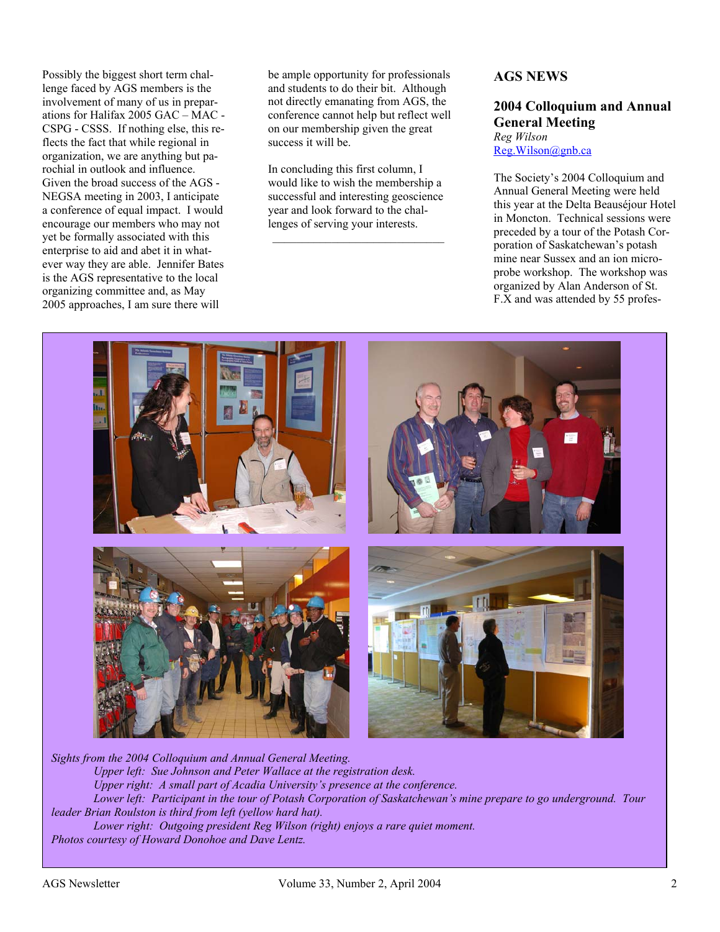Possibly the biggest short term challenge faced by AGS members is the involvement of many of us in preparations for Halifax 2005 GAC – MAC - CSPG - CSSS. If nothing else, this reflects the fact that while regional in organization, we are anything but parochial in outlook and influence. Given the broad success of the AGS - NEGSA meeting in 2003, I anticipate a conference of equal impact. I would encourage our members who may not yet be formally associated with this enterprise to aid and abet it in whatever way they are able. Jennifer Bates is the AGS representative to the local organizing committee and, as May 2005 approaches, I am sure there will

be ample opportunity for professionals and students to do their bit. Although not directly emanating from AGS, the conference cannot help but reflect well on our membership given the great success it will be.

In concluding this first column, I would like to wish the membership a successful and interesting geoscience year and look forward to the challenges of serving your interests.

 $\mathcal{L}_\text{max}$  , where  $\mathcal{L}_\text{max}$  and  $\mathcal{L}_\text{max}$ 

#### **AGS NEWS**

#### **2004 Colloquium and Annual General Meeting**

*Reg Wilson*  Reg.Wilson@gnb.ca

The Society's 2004 Colloquium and Annual General Meeting were held this year at the Delta Beauséjour Hotel in Moncton. Technical sessions were preceded by a tour of the Potash Corporation of Saskatchewan's potash mine near Sussex and an ion microprobe workshop. The workshop was organized by Alan Anderson of St. F.X and was attended by 55 profes-



*Sights from the 2004 Colloquium and Annual General Meeting. Upper left: Sue Johnson and Peter Wallace at the registration desk. Upper right: A small part of Acadia University's presence at the conference. Lower left: Participant in the tour of Potash Corporation of Saskatchewan's mine prepare to go underground. Tour leader Brian Roulston is third from left (yellow hard hat). Lower right: Outgoing president Reg Wilson (right) enjoys a rare quiet moment. Photos courtesy of Howard Donohoe and Dave Lentz.*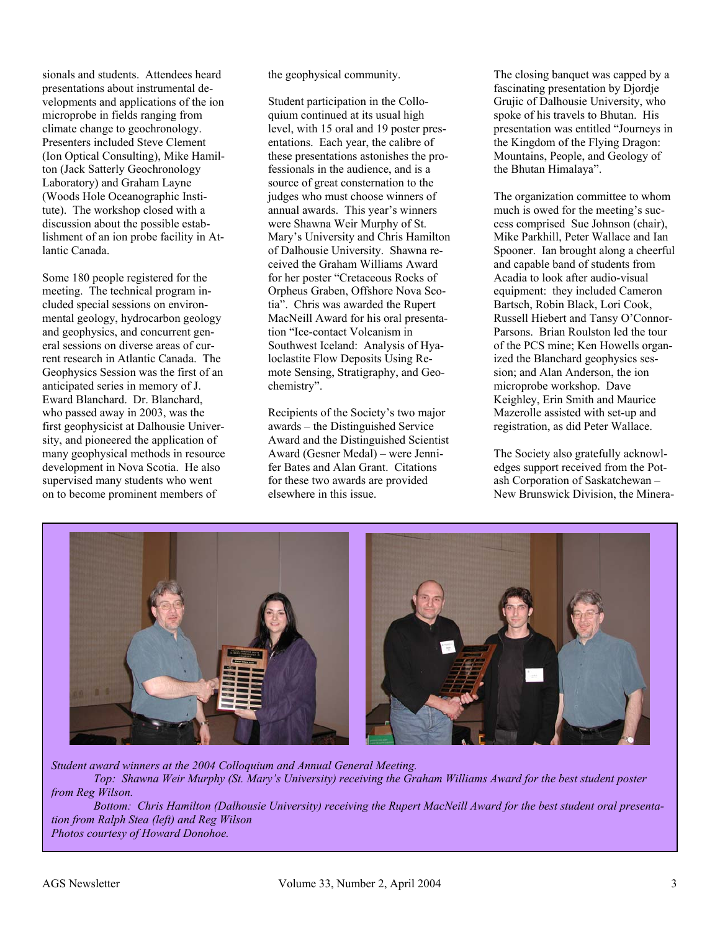sionals and students. Attendees heard presentations about instrumental developments and applications of the ion microprobe in fields ranging from climate change to geochronology. Presenters included Steve Clement (Ion Optical Consulting), Mike Hamilton (Jack Satterly Geochronology Laboratory) and Graham Layne (Woods Hole Oceanographic Institute). The workshop closed with a discussion about the possible establishment of an ion probe facility in Atlantic Canada.

Some 180 people registered for the meeting. The technical program included special sessions on environmental geology, hydrocarbon geology and geophysics, and concurrent general sessions on diverse areas of current research in Atlantic Canada. The Geophysics Session was the first of an anticipated series in memory of J. Eward Blanchard. Dr. Blanchard, who passed away in 2003, was the first geophysicist at Dalhousie University, and pioneered the application of many geophysical methods in resource development in Nova Scotia. He also supervised many students who went on to become prominent members of

the geophysical community.

Student participation in the Colloquium continued at its usual high level, with 15 oral and 19 poster presentations. Each year, the calibre of these presentations astonishes the professionals in the audience, and is a source of great consternation to the judges who must choose winners of annual awards. This year's winners were Shawna Weir Murphy of St. Mary's University and Chris Hamilton of Dalhousie University. Shawna received the Graham Williams Award for her poster "Cretaceous Rocks of Orpheus Graben, Offshore Nova Scotia". Chris was awarded the Rupert MacNeill Award for his oral presentation "Ice-contact Volcanism in Southwest Iceland: Analysis of Hyaloclastite Flow Deposits Using Remote Sensing, Stratigraphy, and Geochemistry".

Recipients of the Society's two major awards – the Distinguished Service Award and the Distinguished Scientist Award (Gesner Medal) – were Jennifer Bates and Alan Grant. Citations for these two awards are provided elsewhere in this issue.

The closing banquet was capped by a fascinating presentation by Djordje Grujic of Dalhousie University, who spoke of his travels to Bhutan. His presentation was entitled "Journeys in the Kingdom of the Flying Dragon: Mountains, People, and Geology of the Bhutan Himalaya".

The organization committee to whom much is owed for the meeting's success comprised Sue Johnson (chair), Mike Parkhill, Peter Wallace and Ian Spooner. Ian brought along a cheerful and capable band of students from Acadia to look after audio-visual equipment: they included Cameron Bartsch, Robin Black, Lori Cook, Russell Hiebert and Tansy O'Connor-Parsons. Brian Roulston led the tour of the PCS mine; Ken Howells organized the Blanchard geophysics session; and Alan Anderson, the ion microprobe workshop. Dave Keighley, Erin Smith and Maurice Mazerolle assisted with set-up and registration, as did Peter Wallace.

The Society also gratefully acknowledges support received from the Potash Corporation of Saskatchewan – New Brunswick Division, the Minera-



*Student award winners at the 2004 Colloquium and Annual General Meeting. Top: Shawna Weir Murphy (St. Mary's University) receiving the Graham Williams Award for the best student poster from Reg Wilson. Bottom: Chris Hamilton (Dalhousie University) receiving the Rupert MacNeill Award for the best student oral presentation from Ralph Stea (left) and Reg Wilson* 

*Photos courtesy of Howard Donohoe.*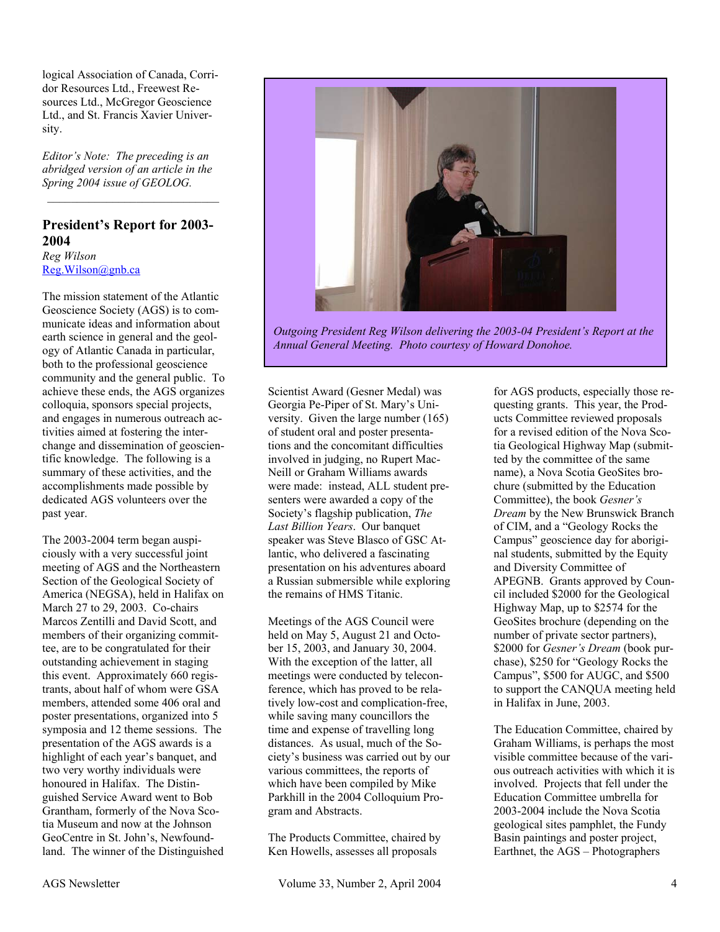logical Association of Canada, Corridor Resources Ltd., Freewest Resources Ltd., McGregor Geoscience Ltd., and St. Francis Xavier University.

*Editor's Note: The preceding is an abridged version of an article in the Spring 2004 issue of GEOLOG.* 

\_\_\_\_\_\_\_\_\_\_\_\_\_\_\_\_\_\_\_\_\_\_\_\_\_\_\_\_\_

#### **President's Report for 2003- 2004**  *Reg Wilson*

Reg.Wilson@gnb.ca

The mission statement of the Atlantic Geoscience Society (AGS) is to communicate ideas and information about earth science in general and the geology of Atlantic Canada in particular, both to the professional geoscience community and the general public. To achieve these ends, the AGS organizes colloquia, sponsors special projects, and engages in numerous outreach activities aimed at fostering the interchange and dissemination of geoscientific knowledge. The following is a summary of these activities, and the accomplishments made possible by dedicated AGS volunteers over the past year.

The 2003-2004 term began auspiciously with a very successful joint meeting of AGS and the Northeastern Section of the Geological Society of America (NEGSA), held in Halifax on March 27 to 29, 2003. Co-chairs Marcos Zentilli and David Scott, and members of their organizing committee, are to be congratulated for their outstanding achievement in staging this event. Approximately 660 registrants, about half of whom were GSA members, attended some 406 oral and poster presentations, organized into 5 symposia and 12 theme sessions. The presentation of the AGS awards is a highlight of each year's banquet, and two very worthy individuals were honoured in Halifax. The Distinguished Service Award went to Bob Grantham, formerly of the Nova Scotia Museum and now at the Johnson GeoCentre in St. John's, Newfoundland. The winner of the Distinguished



*Outgoing President Reg Wilson delivering the 2003-04 President's Report at the Annual General Meeting. Photo courtesy of Howard Donohoe.* 

Scientist Award (Gesner Medal) was Georgia Pe-Piper of St. Mary's University. Given the large number (165) of student oral and poster presentations and the concomitant difficulties involved in judging, no Rupert Mac-Neill or Graham Williams awards were made: instead, ALL student presenters were awarded a copy of the Society's flagship publication, *The Last Billion Years*. Our banquet speaker was Steve Blasco of GSC Atlantic, who delivered a fascinating presentation on his adventures aboard a Russian submersible while exploring the remains of HMS Titanic.

Meetings of the AGS Council were held on May 5, August 21 and October 15, 2003, and January 30, 2004. With the exception of the latter, all meetings were conducted by teleconference, which has proved to be relatively low-cost and complication-free, while saving many councillors the time and expense of travelling long distances. As usual, much of the Society's business was carried out by our various committees, the reports of which have been compiled by Mike Parkhill in the 2004 Colloquium Program and Abstracts.

The Products Committee, chaired by Ken Howells, assesses all proposals

for AGS products, especially those requesting grants. This year, the Products Committee reviewed proposals for a revised edition of the Nova Scotia Geological Highway Map (submitted by the committee of the same name), a Nova Scotia GeoSites brochure (submitted by the Education Committee), the book *Gesner's Dream* by the New Brunswick Branch of CIM, and a "Geology Rocks the Campus" geoscience day for aboriginal students, submitted by the Equity and Diversity Committee of APEGNB. Grants approved by Council included \$2000 for the Geological Highway Map, up to \$2574 for the GeoSites brochure (depending on the number of private sector partners), \$2000 for *Gesner's Dream* (book purchase), \$250 for "Geology Rocks the Campus", \$500 for AUGC, and \$500 to support the CANQUA meeting held in Halifax in June, 2003.

The Education Committee, chaired by Graham Williams, is perhaps the most visible committee because of the various outreach activities with which it is involved. Projects that fell under the Education Committee umbrella for 2003-2004 include the Nova Scotia geological sites pamphlet, the Fundy Basin paintings and poster project, Earthnet, the AGS – Photographers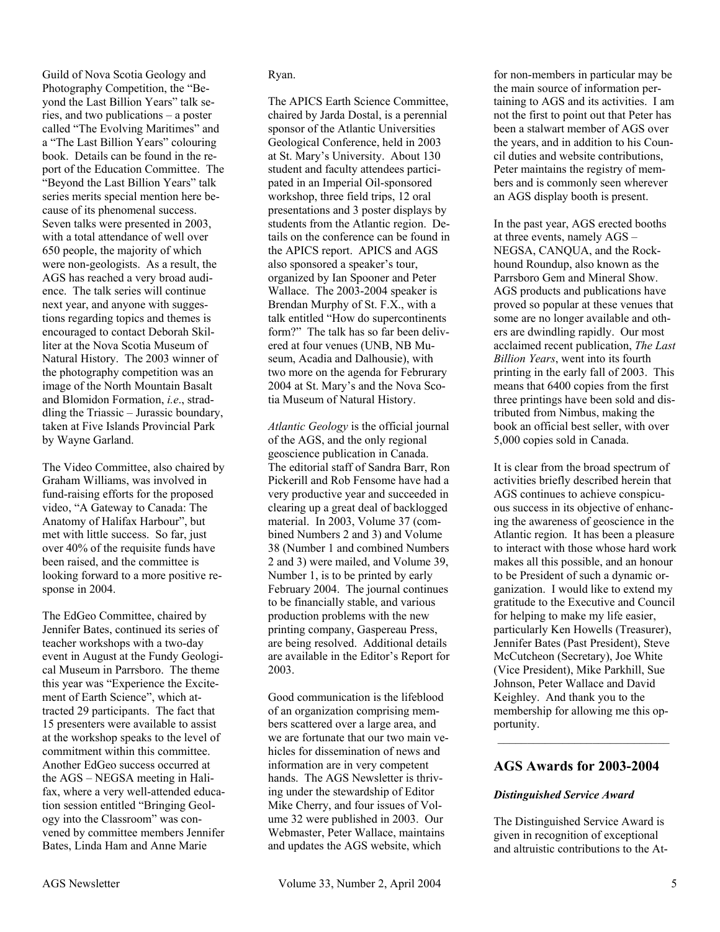Guild of Nova Scotia Geology and Photography Competition, the "Beyond the Last Billion Years" talk series, and two publications – a poster called "The Evolving Maritimes" and a "The Last Billion Years" colouring book. Details can be found in the report of the Education Committee. The "Beyond the Last Billion Years" talk series merits special mention here because of its phenomenal success. Seven talks were presented in 2003, with a total attendance of well over 650 people, the majority of which were non-geologists. As a result, the AGS has reached a very broad audience. The talk series will continue next year, and anyone with suggestions regarding topics and themes is encouraged to contact Deborah Skilliter at the Nova Scotia Museum of Natural History. The 2003 winner of the photography competition was an image of the North Mountain Basalt and Blomidon Formation, *i.e*., straddling the Triassic – Jurassic boundary, taken at Five Islands Provincial Park by Wayne Garland.

The Video Committee, also chaired by Graham Williams, was involved in fund-raising efforts for the proposed video, "A Gateway to Canada: The Anatomy of Halifax Harbour", but met with little success. So far, just over 40% of the requisite funds have been raised, and the committee is looking forward to a more positive response in 2004.

The EdGeo Committee, chaired by Jennifer Bates, continued its series of teacher workshops with a two-day event in August at the Fundy Geological Museum in Parrsboro. The theme this year was "Experience the Excitement of Earth Science", which attracted 29 participants. The fact that 15 presenters were available to assist at the workshop speaks to the level of commitment within this committee. Another EdGeo success occurred at the AGS – NEGSA meeting in Halifax, where a very well-attended education session entitled "Bringing Geology into the Classroom" was convened by committee members Jennifer Bates, Linda Ham and Anne Marie

#### Ryan.

The APICS Earth Science Committee, chaired by Jarda Dostal, is a perennial sponsor of the Atlantic Universities Geological Conference, held in 2003 at St. Mary's University. About 130 student and faculty attendees participated in an Imperial Oil-sponsored workshop, three field trips, 12 oral presentations and 3 poster displays by students from the Atlantic region. Details on the conference can be found in the APICS report. APICS and AGS also sponsored a speaker's tour, organized by Ian Spooner and Peter Wallace. The 2003-2004 speaker is Brendan Murphy of St. F.X., with a talk entitled "How do supercontinents form?" The talk has so far been delivered at four venues (UNB, NB Museum, Acadia and Dalhousie), with two more on the agenda for Februrary 2004 at St. Mary's and the Nova Scotia Museum of Natural History.

*Atlantic Geology* is the official journal of the AGS, and the only regional geoscience publication in Canada. The editorial staff of Sandra Barr, Ron Pickerill and Rob Fensome have had a very productive year and succeeded in clearing up a great deal of backlogged material. In 2003, Volume 37 (combined Numbers 2 and 3) and Volume 38 (Number 1 and combined Numbers 2 and 3) were mailed, and Volume 39, Number 1, is to be printed by early February 2004. The journal continues to be financially stable, and various production problems with the new printing company, Gaspereau Press, are being resolved. Additional details are available in the Editor's Report for 2003.

Good communication is the lifeblood of an organization comprising members scattered over a large area, and we are fortunate that our two main vehicles for dissemination of news and information are in very competent hands. The AGS Newsletter is thriving under the stewardship of Editor Mike Cherry, and four issues of Volume 32 were published in 2003. Our Webmaster, Peter Wallace, maintains and updates the AGS website, which

for non-members in particular may be the main source of information pertaining to AGS and its activities. I am not the first to point out that Peter has been a stalwart member of AGS over the years, and in addition to his Council duties and website contributions, Peter maintains the registry of members and is commonly seen wherever an AGS display booth is present.

In the past year, AGS erected booths at three events, namely AGS – NEGSA, CANQUA, and the Rockhound Roundup, also known as the Parrsboro Gem and Mineral Show. AGS products and publications have proved so popular at these venues that some are no longer available and others are dwindling rapidly. Our most acclaimed recent publication, *The Last Billion Years*, went into its fourth printing in the early fall of 2003. This means that 6400 copies from the first three printings have been sold and distributed from Nimbus, making the book an official best seller, with over 5,000 copies sold in Canada.

It is clear from the broad spectrum of activities briefly described herein that AGS continues to achieve conspicuous success in its objective of enhancing the awareness of geoscience in the Atlantic region. It has been a pleasure to interact with those whose hard work makes all this possible, and an honour to be President of such a dynamic organization. I would like to extend my gratitude to the Executive and Council for helping to make my life easier, particularly Ken Howells (Treasurer), Jennifer Bates (Past President), Steve McCutcheon (Secretary), Joe White (Vice President), Mike Parkhill, Sue Johnson, Peter Wallace and David Keighley. And thank you to the membership for allowing me this opportunity.  $\mathcal{L}_\text{max}$ 

#### **AGS Awards for 2003-2004**

#### *Distinguished Service Award*

The Distinguished Service Award is given in recognition of exceptional and altruistic contributions to the At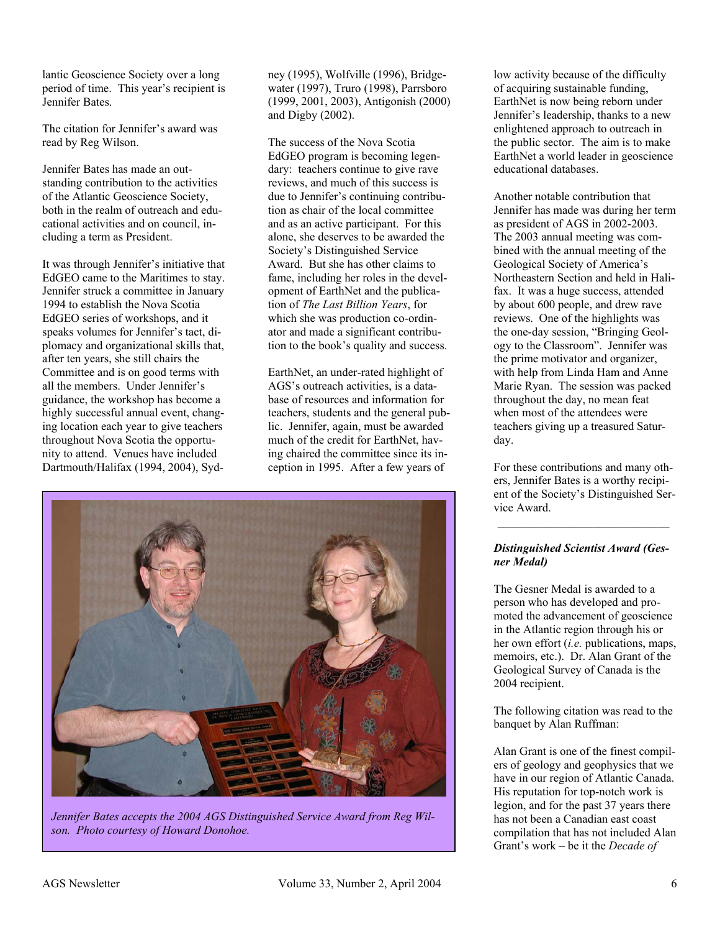lantic Geoscience Society over a long period of time. This year's recipient is Jennifer Bates.

The citation for Jennifer's award was read by Reg Wilson.

Jennifer Bates has made an outstanding contribution to the activities of the Atlantic Geoscience Society, both in the realm of outreach and educational activities and on council, including a term as President.

It was through Jennifer's initiative that EdGEO came to the Maritimes to stay. Jennifer struck a committee in January 1994 to establish the Nova Scotia EdGEO series of workshops, and it speaks volumes for Jennifer's tact, diplomacy and organizational skills that, after ten years, she still chairs the Committee and is on good terms with all the members. Under Jennifer's guidance, the workshop has become a highly successful annual event, changing location each year to give teachers throughout Nova Scotia the opportunity to attend. Venues have included Dartmouth/Halifax (1994, 2004), Syd-

ney (1995), Wolfville (1996), Bridgewater (1997), Truro (1998), Parrsboro (1999, 2001, 2003), Antigonish (2000) and Digby (2002).

The success of the Nova Scotia EdGEO program is becoming legendary: teachers continue to give rave reviews, and much of this success is due to Jennifer's continuing contribution as chair of the local committee and as an active participant. For this alone, she deserves to be awarded the Society's Distinguished Service Award. But she has other claims to fame, including her roles in the development of EarthNet and the publication of *The Last Billion Years*, for which she was production co-ordinator and made a significant contribution to the book's quality and success.

EarthNet, an under-rated highlight of AGS's outreach activities, is a database of resources and information for teachers, students and the general public. Jennifer, again, must be awarded much of the credit for EarthNet, having chaired the committee since its inception in 1995. After a few years of



*Jennifer Bates accepts the 2004 AGS Distinguished Service Award from Reg Wilson. Photo courtesy of Howard Donohoe.* 

low activity because of the difficulty of acquiring sustainable funding, EarthNet is now being reborn under Jennifer's leadership, thanks to a new enlightened approach to outreach in the public sector. The aim is to make EarthNet a world leader in geoscience educational databases.

Another notable contribution that Jennifer has made was during her term as president of AGS in 2002-2003. The 2003 annual meeting was combined with the annual meeting of the Geological Society of America's Northeastern Section and held in Halifax. It was a huge success, attended by about 600 people, and drew rave reviews. One of the highlights was the one-day session, "Bringing Geology to the Classroom". Jennifer was the prime motivator and organizer, with help from Linda Ham and Anne Marie Ryan. The session was packed throughout the day, no mean feat when most of the attendees were teachers giving up a treasured Saturday.

For these contributions and many others, Jennifer Bates is a worthy recipient of the Society's Distinguished Service Award.

\_\_\_\_\_\_\_\_\_\_\_\_\_\_\_\_\_\_\_\_\_\_\_\_\_\_\_\_\_

#### *Distinguished Scientist Award (Gesner Medal)*

The Gesner Medal is awarded to a person who has developed and promoted the advancement of geoscience in the Atlantic region through his or her own effort (*i.e.* publications, maps, memoirs, etc.). Dr. Alan Grant of the Geological Survey of Canada is the 2004 recipient.

The following citation was read to the banquet by Alan Ruffman:

Alan Grant is one of the finest compilers of geology and geophysics that we have in our region of Atlantic Canada. His reputation for top-notch work is legion, and for the past 37 years there has not been a Canadian east coast compilation that has not included Alan Grant's work – be it the *Decade of*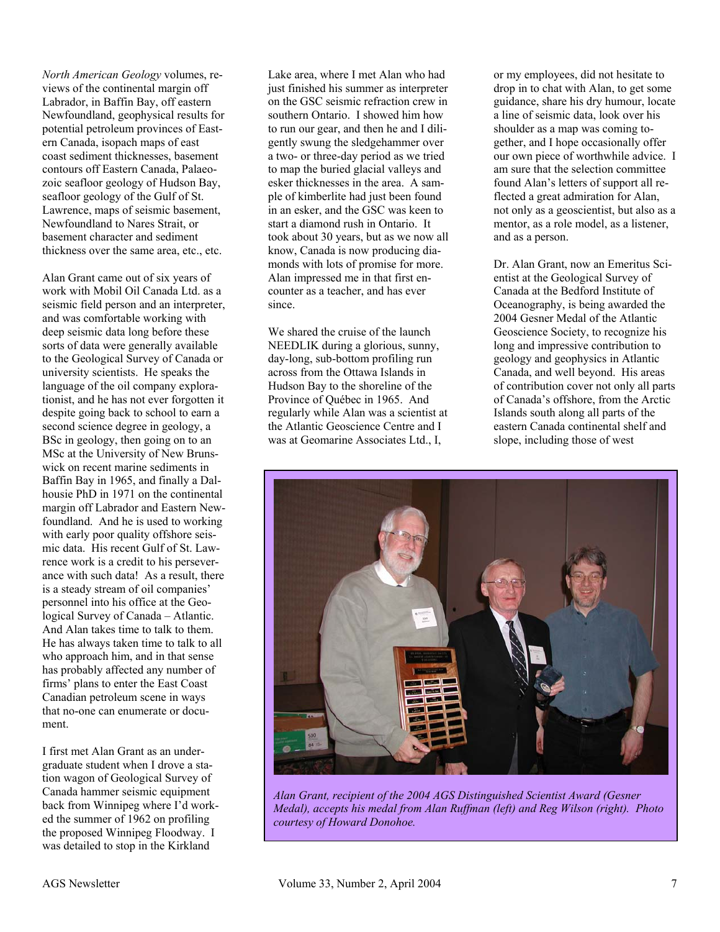*North American Geology* volumes, reviews of the continental margin off Labrador, in Baffin Bay, off eastern Newfoundland, geophysical results for potential petroleum provinces of Eastern Canada, isopach maps of east coast sediment thicknesses, basement contours off Eastern Canada, Palaeozoic seafloor geology of Hudson Bay, seafloor geology of the Gulf of St. Lawrence, maps of seismic basement, Newfoundland to Nares Strait, or basement character and sediment thickness over the same area, etc., etc.

Alan Grant came out of six years of work with Mobil Oil Canada Ltd. as a seismic field person and an interpreter, and was comfortable working with deep seismic data long before these sorts of data were generally available to the Geological Survey of Canada or university scientists. He speaks the language of the oil company explorationist, and he has not ever forgotten it despite going back to school to earn a second science degree in geology, a BSc in geology, then going on to an MSc at the University of New Brunswick on recent marine sediments in Baffin Bay in 1965, and finally a Dalhousie PhD in 1971 on the continental margin off Labrador and Eastern Newfoundland. And he is used to working with early poor quality offshore seismic data. His recent Gulf of St. Lawrence work is a credit to his perseverance with such data! As a result, there is a steady stream of oil companies' personnel into his office at the Geological Survey of Canada – Atlantic. And Alan takes time to talk to them. He has always taken time to talk to all who approach him, and in that sense has probably affected any number of firms' plans to enter the East Coast Canadian petroleum scene in ways that no-one can enumerate or document.

I first met Alan Grant as an undergraduate student when I drove a station wagon of Geological Survey of Canada hammer seismic equipment back from Winnipeg where I'd worked the summer of 1962 on profiling the proposed Winnipeg Floodway. I was detailed to stop in the Kirkland

Lake area, where I met Alan who had just finished his summer as interpreter on the GSC seismic refraction crew in southern Ontario. I showed him how to run our gear, and then he and I diligently swung the sledgehammer over a two- or three-day period as we tried to map the buried glacial valleys and esker thicknesses in the area. A sample of kimberlite had just been found in an esker, and the GSC was keen to start a diamond rush in Ontario. It took about 30 years, but as we now all know, Canada is now producing diamonds with lots of promise for more. Alan impressed me in that first encounter as a teacher, and has ever since.

We shared the cruise of the launch NEEDLIK during a glorious, sunny, day-long, sub-bottom profiling run across from the Ottawa Islands in Hudson Bay to the shoreline of the Province of Québec in 1965. And regularly while Alan was a scientist at the Atlantic Geoscience Centre and I was at Geomarine Associates Ltd., I,

or my employees, did not hesitate to drop in to chat with Alan, to get some guidance, share his dry humour, locate a line of seismic data, look over his shoulder as a map was coming together, and I hope occasionally offer our own piece of worthwhile advice. I am sure that the selection committee found Alan's letters of support all reflected a great admiration for Alan, not only as a geoscientist, but also as a mentor, as a role model, as a listener, and as a person.

Dr. Alan Grant, now an Emeritus Scientist at the Geological Survey of Canada at the Bedford Institute of Oceanography, is being awarded the 2004 Gesner Medal of the Atlantic Geoscience Society, to recognize his long and impressive contribution to geology and geophysics in Atlantic Canada, and well beyond. His areas of contribution cover not only all parts of Canada's offshore, from the Arctic Islands south along all parts of the eastern Canada continental shelf and slope, including those of west



*Alan Grant, recipient of the 2004 AGS Distinguished Scientist Award (Gesner Medal), accepts his medal from Alan Ruffman (left) and Reg Wilson (right). Photo courtesy of Howard Donohoe.*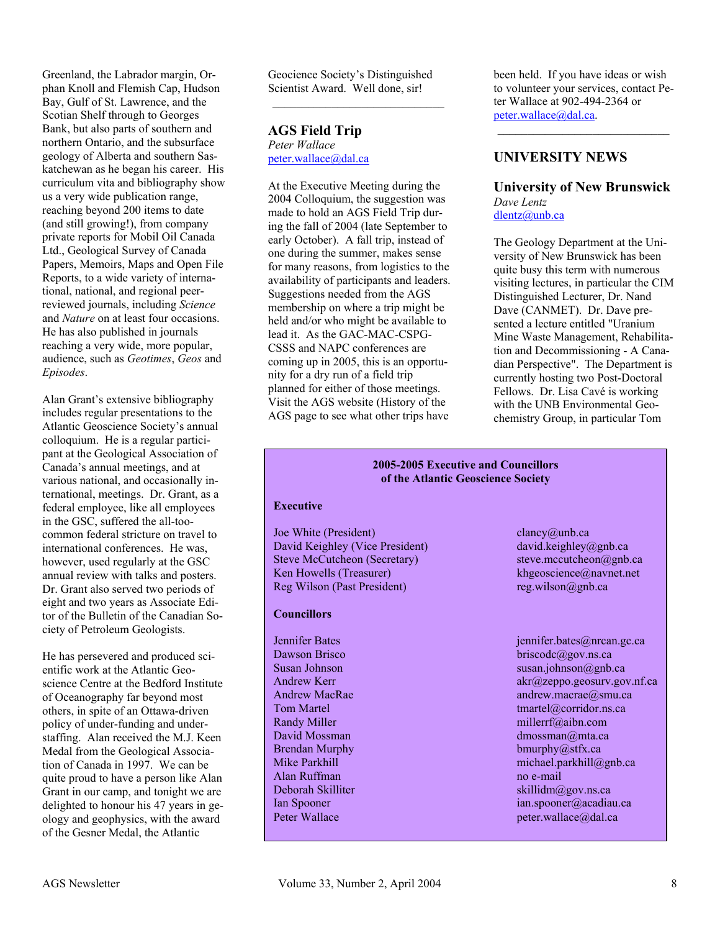Greenland, the Labrador margin, Orphan Knoll and Flemish Cap, Hudson Bay, Gulf of St. Lawrence, and the Scotian Shelf through to Georges Bank, but also parts of southern and northern Ontario, and the subsurface geology of Alberta and southern Saskatchewan as he began his career. His curriculum vita and bibliography show us a very wide publication range, reaching beyond 200 items to date (and still growing!), from company private reports for Mobil Oil Canada Ltd., Geological Survey of Canada Papers, Memoirs, Maps and Open File Reports, to a wide variety of international, national, and regional peerreviewed journals, including *Science*  and *Nature* on at least four occasions. He has also published in journals reaching a very wide, more popular, audience, such as *Geotimes*, *Geos* and *Episodes*.

Alan Grant's extensive bibliography includes regular presentations to the Atlantic Geoscience Society's annual colloquium. He is a regular participant at the Geological Association of Canada's annual meetings, and at various national, and occasionally international, meetings. Dr. Grant, as a federal employee, like all employees in the GSC, suffered the all-toocommon federal stricture on travel to international conferences. He was, however, used regularly at the GSC annual review with talks and posters. Dr. Grant also served two periods of eight and two years as Associate Editor of the Bulletin of the Canadian Society of Petroleum Geologists.

He has persevered and produced scientific work at the Atlantic Geoscience Centre at the Bedford Institute of Oceanography far beyond most others, in spite of an Ottawa-driven policy of under-funding and understaffing. Alan received the M.J. Keen Medal from the Geological Association of Canada in 1997. We can be quite proud to have a person like Alan Grant in our camp, and tonight we are delighted to honour his 47 years in geology and geophysics, with the award of the Gesner Medal, the Atlantic

Geocience Society's Distinguished Scientist Award. Well done, sir!

#### **AGS Field Trip**  *Peter Wallace*  peter.wallace@dal.ca

At the Executive Meeting during the 2004 Colloquium, the suggestion was made to hold an AGS Field Trip during the fall of 2004 (late September to early October). A fall trip, instead of one during the summer, makes sense for many reasons, from logistics to the availability of participants and leaders. Suggestions needed from the AGS membership on where a trip might be held and/or who might be available to lead it. As the GAC-MAC-CSPG-CSSS and NAPC conferences are coming up in 2005, this is an opportunity for a dry run of a field trip planned for either of those meetings. Visit the AGS website (History of the AGS page to see what other trips have

been held. If you have ideas or wish to volunteer your services, contact Peter Wallace at 902-494-2364 or peter.wallace@dal.ca.

\_\_\_\_\_\_\_\_\_\_\_\_\_\_\_\_\_\_\_\_\_\_\_\_\_\_\_\_\_

### **UNIVERSITY NEWS**

#### **University of New Brunswick**  *Dave Lentz*

dlentz@unb.ca

The Geology Department at the University of New Brunswick has been quite busy this term with numerous visiting lectures, in particular the CIM Distinguished Lecturer, Dr. Nand Dave (CANMET). Dr. Dave presented a lecture entitled "Uranium Mine Waste Management, Rehabilitation and Decommissioning - A Canadian Perspective". The Department is currently hosting two Post-Doctoral Fellows. Dr. Lisa Cavé is working with the UNB Environmental Geochemistry Group, in particular Tom

#### **2005-2005 Executive and Councillors of the Atlantic Geoscience Society**

#### **Executive**

Joe White (President) clancy a clancy a clancy and clancy and clancy and clancy and clancy and clancy and clancy and clancy and clancy and clancy and clancy and clancy and clancy and clancy and clancy and clancy and clancy David Keighley (Vice President) david.keighley@gnb.ca Steve McCutcheon (Secretary) steve.mccutcheon@gnb.ca Ken Howells (Treasurer) khgeoscience@navnet.net Reg Wilson (Past President) reg.wilson@gnb.ca

#### **Councillors**

Alan Ruffman no e-mail

Jennifer Bates jennifer.bates@nrcan.gc.ca<br>
Dawson Brisco briscode@nrcan.gc.ca<br>
briscode@nrcan.gc.ca briscodc@gov.ns.ca Susan Johnson susan.johnson susan.johnson algeb.ca Andrew Kerr akr $(\partial z)$ eppo.geosurv.gov.nf.ca Andrew MacRae andrew.macrae@smu.ca Tom Martel the Corridor Contract of the Corridor Corridor.ns.ca Randy Miller<br>
David Mossman<br>
David Mossman<br>
David Mossman<br>
David Mossman<br>
David Mossman<br>
David Mossman<br>
David Mossman<br>
David Mossman<br>
David Mossman<br>
David Mossman<br>
David Mossman<br>
David Mossman<br>
David Mossman<br>
David Mossman  $d$ mossman $@$ mta.ca Brendan Murphy bmurphy bmurphy bmurphy bmurphy as the set of the set of the bmurphy as fx.ca. Mike Parkhill michael.parkhill@gnb.ca Deborah Skilliter skillidm@gov.ns.ca Ian Spooner ian.spooner@acadiau.ca Peter Wallace **peter.wallace** peter.wallace *peter.wallace add ca*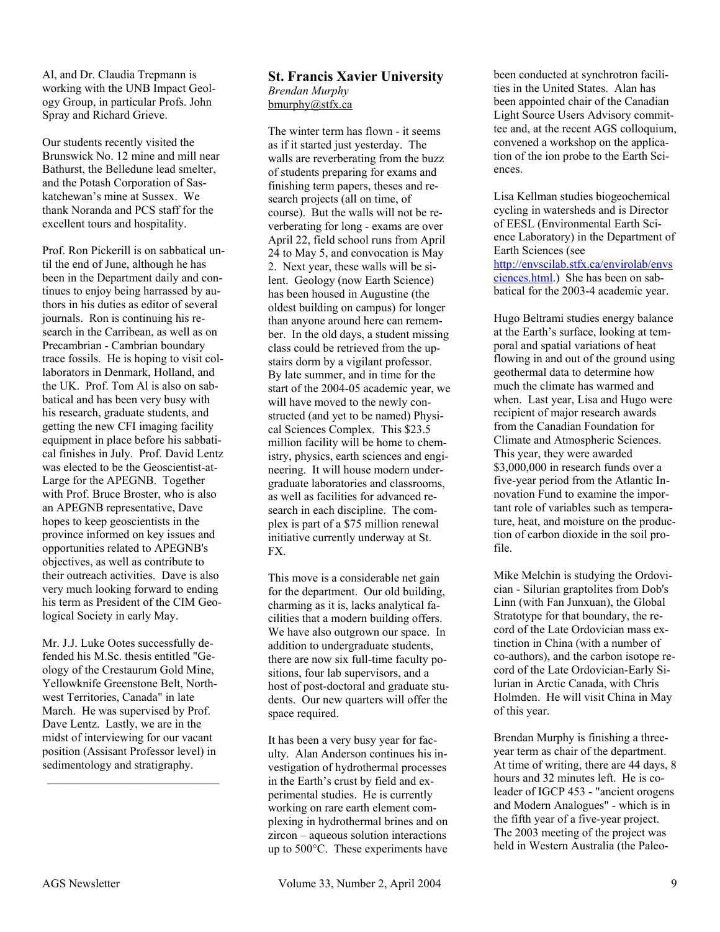Al, and Dr. Claudia Trepmann is working with the UNB Impact Geology Group, in particular Profs. John Spray and Richard Grieve.

Our students recently visited the Brunswick No. 12 mine and mill near Bathurst, the Belledune lead smelter, and the Potash Corporation of Saskatchewan's mine at Sussex. We thank Noranda and PCS staff for the excellent tours and hospitality.

Prof. Ron Pickerill is on sabbatical until the end of June, although he has been in the Department daily and continues to enjoy being harrassed by authors in his duties as editor of several journals. Ron is continuing his research in the Carribean, as well as on Precambrian - Cambrian boundary trace fossils. He is hoping to visit collaborators in Denmark, Holland, and the UK. Prof. Tom Al is also on sabbatical and has been very busy with his research, graduate students, and getting the new CFI imaging facility equipment in place before his sabbatical finishes in July. Prof. David Lentz was elected to be the Geoscientist-at-Large for the APEGNB. Together with Prof. Bruce Broster, who is also an APEGNB representative, Dave hopes to keep geoscientists in the province informed on key issues and opportunities related to APEGNB's objectives, as well as contribute to their outreach activities. Dave is also very much looking forward to ending his term as President of the CIM Geological Society in early May.

Mr. J.J. Luke Ootes successfully defended his M.Sc. thesis entitled "Geology of the Crestaurum Gold Mine, Yellowknife Greenstone Belt, Northwest Territories, Canada" in late March. He was supervised by Prof. Dave Lentz. Lastly, we are in the midst of interviewing for our vacant position (Assisant Professor level) in sedimentology and stratigraphy.

 $\mathcal{L}_\text{max}$ 

#### **St. Francis Xavier University**  *Brendan Murphy*  bmurphy@stfx.ca

The winter term has flown - it seems as if it started just yesterday. The walls are reverberating from the buzz of students preparing for exams and finishing term papers, theses and research projects (all on time, of course). But the walls will not be reverberating for long - exams are over April 22, field school runs from April 24 to May 5, and convocation is May 2. Next year, these walls will be silent. Geology (now Earth Science) has been housed in Augustine (the oldest building on campus) for longer than anyone around here can remember. In the old days, a student missing class could be retrieved from the upstairs dorm by a vigilant professor. By late summer, and in time for the start of the 2004-05 academic year, we will have moved to the newly constructed (and yet to be named) Physical Sciences Complex. This \$23.5 million facility will be home to chemistry, physics, earth sciences and engineering. It will house modern undergraduate laboratories and classrooms, as well as facilities for advanced research in each discipline. The complex is part of a \$75 million renewal initiative currently underway at St. FX.

This move is a considerable net gain for the department. Our old building, charming as it is, lacks analytical facilities that a modern building offers. We have also outgrown our space. In addition to undergraduate students, there are now six full-time faculty positions, four lab supervisors, and a host of post-doctoral and graduate students. Our new quarters will offer the space required.

It has been a very busy year for faculty. Alan Anderson continues his investigation of hydrothermal processes in the Earth's crust by field and experimental studies. He is currently working on rare earth element complexing in hydrothermal brines and on zircon – aqueous solution interactions up to 500°C. These experiments have

been conducted at synchrotron facilities in the United States. Alan has been appointed chair of the Canadian Light Source Users Advisory committee and, at the recent AGS colloquium, convened a workshop on the application of the ion probe to the Earth Sciences.

Lisa Kellman studies biogeochemical cycling in watersheds and is Director of EESL (Environmental Earth Science Laboratory) in the Department of Earth Sciences (see http://envscilab.stfx.ca/envirolab/envs ciences.html.) She has been on sabbatical for the 2003-4 academic year.

Hugo Beltrami studies energy balance at the Earth's surface, looking at temporal and spatial variations of heat flowing in and out of the ground using geothermal data to determine how much the climate has warmed and when. Last year, Lisa and Hugo were recipient of major research awards from the Canadian Foundation for Climate and Atmospheric Sciences. This year, they were awarded \$3,000,000 in research funds over a five-year period from the Atlantic Innovation Fund to examine the important role of variables such as temperature, heat, and moisture on the production of carbon dioxide in the soil profile.

Mike Melchin is studying the Ordovician - Silurian graptolites from Dob's Linn (with Fan Junxuan), the Global Stratotype for that boundary, the record of the Late Ordovician mass extinction in China (with a number of co-authors), and the carbon isotope record of the Late Ordovician-Early Silurian in Arctic Canada, with Chris Holmden. He will visit China in May of this year.

Brendan Murphy is finishing a threeyear term as chair of the department. At time of writing, there are 44 days, 8 hours and 32 minutes left. He is coleader of IGCP 453 - "ancient orogens and Modern Analogues" - which is in the fifth year of a five-year project. The 2003 meeting of the project was held in Western Australia (the Paleo